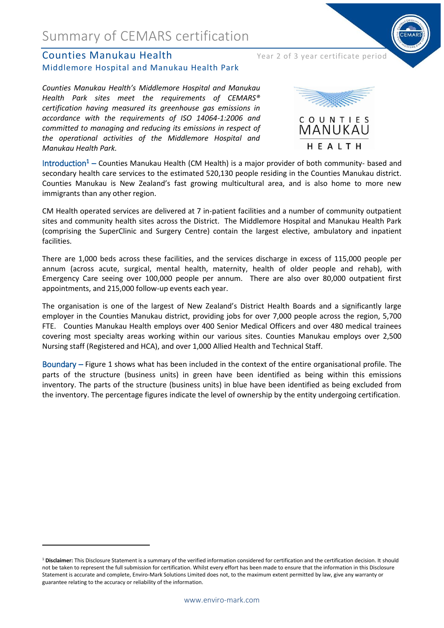### Summary of CEMARS certification

#### **Counties Manukau Health** Year 2 of 3 year certificate period Middlemore Hospital and Manukau Health Park

*Counties Manukau Health's Middlemore Hospital and Manukau Health Park sites meet the requirements of CEMARS® certification having measured its greenhouse gas emissions in accordance with the requirements of ISO 14064-1:2006 and committed to managing and reducing its emissions in respect of the operational activities of the Middlemore Hospital and Manukau Health Park.*



Introduction<sup>1</sup> – Counties Manukau Health (CM Health) is a major provider of both community- based and secondary health care services to the estimated 520,130 people residing in the Counties Manukau district. Counties Manukau is New Zealand's fast growing multicultural area, and is also home to more new immigrants than any other region.

CM Health operated services are delivered at 7 in-patient facilities and a number of community outpatient sites and community health sites across the District. The Middlemore Hospital and Manukau Health Park (comprising the SuperClinic and Surgery Centre) contain the largest elective, ambulatory and inpatient facilities.

There are 1,000 beds across these facilities, and the services discharge in excess of 115,000 people per annum (across acute, surgical, mental health, maternity, health of older people and rehab), with Emergency Care seeing over 100,000 people per annum. There are also over 80,000 outpatient first appointments, and 215,000 follow-up events each year.

The organisation is one of the largest of New Zealand's District Health Boards and a significantly large employer in the Counties Manukau district, providing jobs for over 7,000 people across the region, 5,700 FTE. Counties Manukau Health employs over 400 Senior Medical Officers and over 480 medical trainees covering most specialty areas working within our various sites. Counties Manukau employs over 2,500 Nursing staff (Registered and HCA), and over 1,000 Allied Health and Technical Staff.

Boundary – Figure 1 shows what has been included in the context of the entire organisational profile. The parts of the structure (business units) in green have been identified as being within this emissions inventory. The parts of the structure (business units) in blue have been identified as being excluded from the inventory. The percentage figures indicate the level of ownership by the entity undergoing certification.

<sup>&</sup>lt;sup>1</sup> Disclaimer: This Disclosure Statement is a summary of the verified information considered for certification and the certification decision. It should not be taken to represent the full submission for certification. Whilst every effort has been made to ensure that the information in this Disclosure Statement is accurate and complete, Enviro-Mark Solutions Limited does not, to the maximum extent permitted by law, give any warranty or guarantee relating to the accuracy or reliability of the information.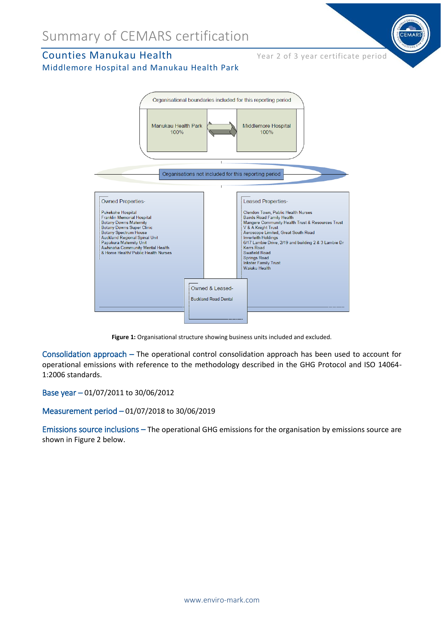### Counties Manukau Health Year 2 of 3 year certificate period





**Figure 1:** Organisational structure showing business units included and excluded.

Consolidation approach – The operational control consolidation approach has been used to account for operational emissions with reference to the methodology described in the GHG Protocol and ISO 14064- 1:2006 standards.

Base year – 01/07/2011 to 30/06/2012

Measurement period – 01/07/2018 to 30/06/2019

Emissions source inclusions – The operational GHG emissions for the organisation by emissions source are shown in Figure 2 below.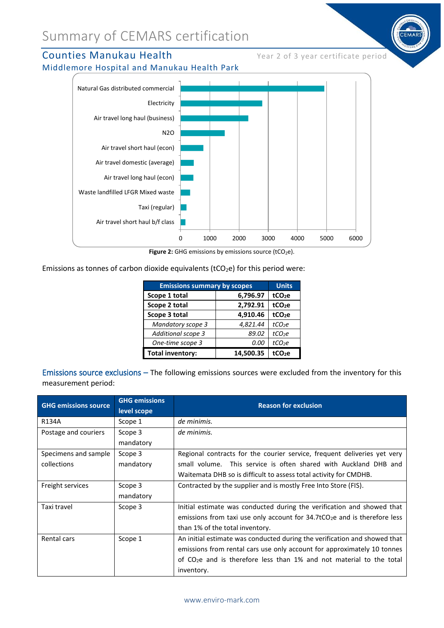### Summary of CEMARS certification

### Counties Manukau Health Year 2 of 3 year certificate period

Middlemore Hospital and Manukau Health Park



Figure 2: GHG emissions by emissions source (tCO<sub>2</sub>e).

Emissions as tonnes of carbon dioxide equivalents ( $tCO_2e$ ) for this period were:

| <b>Emissions summary by scopes</b> |           | <b>Units</b>       |
|------------------------------------|-----------|--------------------|
| Scope 1 total                      | 6,796.97  | tCO <sub>2</sub> e |
| Scope 2 total                      | 2,792.91  | tCO <sub>2</sub> e |
| Scope 3 total                      | 4,910.46  | tCO <sub>2</sub> e |
| Mandatory scope 3                  | 4,821.44  | tCO <sub>2</sub> e |
| Additional scope 3                 | 89.02     | tCO <sub>2</sub> e |
| One-time scope 3                   | 0.00      | tCO <sub>2</sub> e |
| <b>Total inventory:</b>            | 14,500.35 | tCO <sub>2</sub> e |

Emissions source exclusions – The following emissions sources were excluded from the inventory for this measurement period:

| <b>GHG emissions source</b> | <b>GHG emissions</b><br>level scope | <b>Reason for exclusion</b>                                                              |
|-----------------------------|-------------------------------------|------------------------------------------------------------------------------------------|
| R134A                       | Scope 1                             | de minimis.                                                                              |
| Postage and couriers        | Scope 3                             | de minimis.                                                                              |
|                             | mandatory                           |                                                                                          |
| Specimens and sample        | Scope 3                             | Regional contracts for the courier service, frequent deliveries yet very                 |
| collections                 | mandatory                           | small volume. This service is often shared with Auckland DHB and                         |
|                             |                                     | Waitemata DHB so is difficult to assess total activity for CMDHB.                        |
| Freight services            | Scope 3                             | Contracted by the supplier and is mostly Free Into Store (FIS).                          |
|                             | mandatory                           |                                                                                          |
| Taxi travel                 | Scope 3                             | Initial estimate was conducted during the verification and showed that                   |
|                             |                                     | emissions from taxi use only account for $34.7$ tCO <sub>2</sub> e and is therefore less |
|                             |                                     | than 1% of the total inventory.                                                          |
| Rental cars                 | Scope 1                             | An initial estimate was conducted during the verification and showed that                |
|                             |                                     | emissions from rental cars use only account for approximately 10 tonnes                  |
|                             |                                     | of $CO2e$ and is therefore less than 1% and not material to the total                    |
|                             |                                     | inventory.                                                                               |